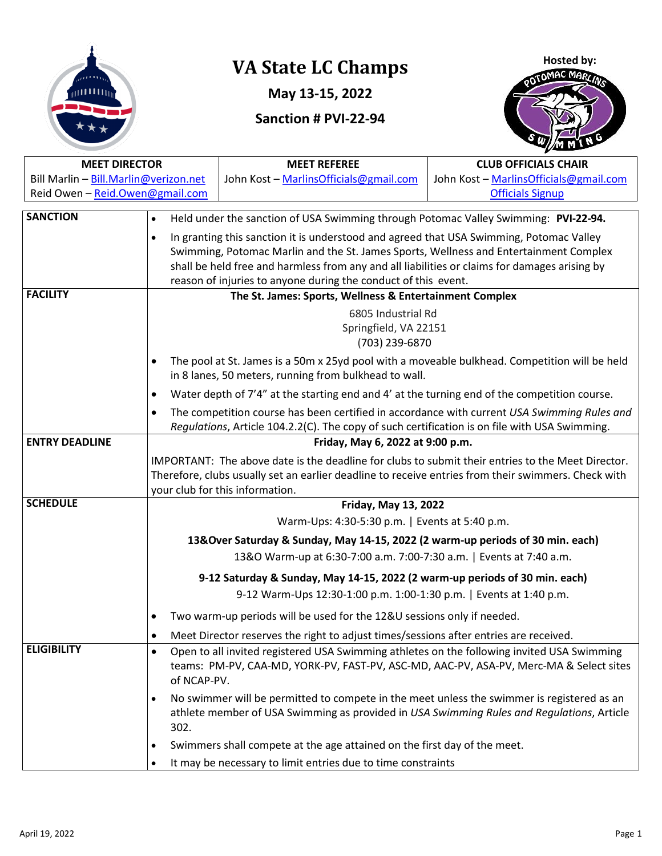

# **VA State LC Champs**

**May 13-15, 2022**

## **Sanction # PVI-22-94**



| <b>MEET DIRECTOR</b>                  |                                                                                                                                                                                               | <b>MEET REFEREE</b>                                                                           | <b>CLUB OFFICIALS CHAIR</b>            |  |
|---------------------------------------|-----------------------------------------------------------------------------------------------------------------------------------------------------------------------------------------------|-----------------------------------------------------------------------------------------------|----------------------------------------|--|
| Bill Marlin - Bill.Marlin@verizon.net |                                                                                                                                                                                               | John Kost - MarlinsOfficials@gmail.com                                                        | John Kost - MarlinsOfficials@gmail.com |  |
| Reid Owen - Reid.Owen@gmail.com       |                                                                                                                                                                                               |                                                                                               | <b>Officials Signup</b>                |  |
| <b>SANCTION</b>                       | Held under the sanction of USA Swimming through Potomac Valley Swimming: PVI-22-94.                                                                                                           |                                                                                               |                                        |  |
|                                       | $\bullet$                                                                                                                                                                                     |                                                                                               |                                        |  |
|                                       | In granting this sanction it is understood and agreed that USA Swimming, Potomac Valley<br>$\bullet$<br>Swimming, Potomac Marlin and the St. James Sports, Wellness and Entertainment Complex |                                                                                               |                                        |  |
|                                       |                                                                                                                                                                                               | shall be held free and harmless from any and all liabilities or claims for damages arising by |                                        |  |
|                                       |                                                                                                                                                                                               | reason of injuries to anyone during the conduct of this event.                                |                                        |  |
| <b>FACILITY</b>                       |                                                                                                                                                                                               | The St. James: Sports, Wellness & Entertainment Complex                                       |                                        |  |
|                                       | 6805 Industrial Rd                                                                                                                                                                            |                                                                                               |                                        |  |
|                                       | Springfield, VA 22151                                                                                                                                                                         |                                                                                               |                                        |  |
|                                       |                                                                                                                                                                                               | (703) 239-6870                                                                                |                                        |  |
|                                       | The pool at St. James is a 50m x 25yd pool with a moveable bulkhead. Competition will be held<br>$\bullet$                                                                                    |                                                                                               |                                        |  |
|                                       | in 8 lanes, 50 meters, running from bulkhead to wall.                                                                                                                                         |                                                                                               |                                        |  |
|                                       | $\bullet$                                                                                                                                                                                     | Water depth of 7'4" at the starting end and 4' at the turning end of the competition course.  |                                        |  |
|                                       | $\bullet$                                                                                                                                                                                     | The competition course has been certified in accordance with current USA Swimming Rules and   |                                        |  |
|                                       |                                                                                                                                                                                               | Regulations, Article 104.2.2(C). The copy of such certification is on file with USA Swimming. |                                        |  |
| <b>ENTRY DEADLINE</b>                 | Friday, May 6, 2022 at 9:00 p.m.                                                                                                                                                              |                                                                                               |                                        |  |
|                                       | IMPORTANT: The above date is the deadline for clubs to submit their entries to the Meet Director.                                                                                             |                                                                                               |                                        |  |
|                                       | Therefore, clubs usually set an earlier deadline to receive entries from their swimmers. Check with                                                                                           |                                                                                               |                                        |  |
| <b>SCHEDULE</b>                       | your club for this information.                                                                                                                                                               |                                                                                               |                                        |  |
|                                       | <b>Friday, May 13, 2022</b>                                                                                                                                                                   |                                                                                               |                                        |  |
|                                       | Warm-Ups: 4:30-5:30 p.m.   Events at 5:40 p.m.                                                                                                                                                |                                                                                               |                                        |  |
|                                       | 13&Over Saturday & Sunday, May 14-15, 2022 (2 warm-up periods of 30 min. each)                                                                                                                |                                                                                               |                                        |  |
|                                       | 13&O Warm-up at 6:30-7:00 a.m. 7:00-7:30 a.m.   Events at 7:40 a.m.                                                                                                                           |                                                                                               |                                        |  |
|                                       | 9-12 Saturday & Sunday, May 14-15, 2022 (2 warm-up periods of 30 min. each)                                                                                                                   |                                                                                               |                                        |  |
|                                       | 9-12 Warm-Ups 12:30-1:00 p.m. 1:00-1:30 p.m.   Events at 1:40 p.m.                                                                                                                            |                                                                                               |                                        |  |
|                                       |                                                                                                                                                                                               | Two warm-up periods will be used for the 12&U sessions only if needed.                        |                                        |  |
|                                       | ٠                                                                                                                                                                                             | Meet Director reserves the right to adjust times/sessions after entries are received.         |                                        |  |
| <b>ELIGIBILITY</b>                    | Open to all invited registered USA Swimming athletes on the following invited USA Swimming<br>٠                                                                                               |                                                                                               |                                        |  |
|                                       | of NCAP-PV.                                                                                                                                                                                   | teams: PM-PV, CAA-MD, YORK-PV, FAST-PV, ASC-MD, AAC-PV, ASA-PV, Merc-MA & Select sites        |                                        |  |
|                                       | $\bullet$                                                                                                                                                                                     | No swimmer will be permitted to compete in the meet unless the swimmer is registered as an    |                                        |  |
|                                       | 302.                                                                                                                                                                                          | athlete member of USA Swimming as provided in USA Swimming Rules and Regulations, Article     |                                        |  |
|                                       | ٠                                                                                                                                                                                             | Swimmers shall compete at the age attained on the first day of the meet.                      |                                        |  |
|                                       |                                                                                                                                                                                               | It may be necessary to limit entries due to time constraints                                  |                                        |  |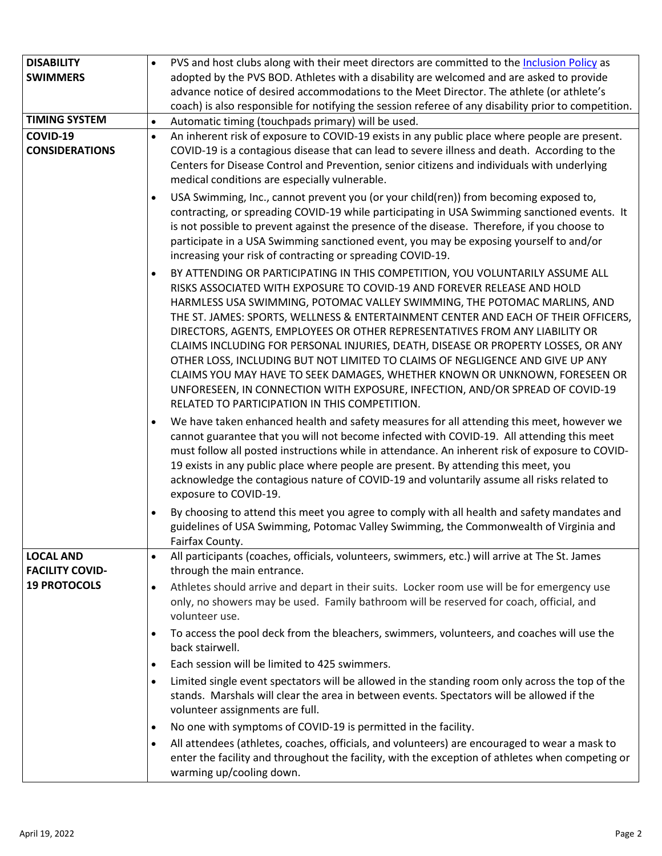| <b>DISABILITY</b>                          | PVS and host clubs along with their meet directors are committed to the Inclusion Policy as                                                                                                                                                                                                                                                                                                                                                                                                                                                                                                                                                                                                                                                                                                     |
|--------------------------------------------|-------------------------------------------------------------------------------------------------------------------------------------------------------------------------------------------------------------------------------------------------------------------------------------------------------------------------------------------------------------------------------------------------------------------------------------------------------------------------------------------------------------------------------------------------------------------------------------------------------------------------------------------------------------------------------------------------------------------------------------------------------------------------------------------------|
| <b>SWIMMERS</b>                            | adopted by the PVS BOD. Athletes with a disability are welcomed and are asked to provide                                                                                                                                                                                                                                                                                                                                                                                                                                                                                                                                                                                                                                                                                                        |
|                                            | advance notice of desired accommodations to the Meet Director. The athlete (or athlete's                                                                                                                                                                                                                                                                                                                                                                                                                                                                                                                                                                                                                                                                                                        |
|                                            | coach) is also responsible for notifying the session referee of any disability prior to competition.                                                                                                                                                                                                                                                                                                                                                                                                                                                                                                                                                                                                                                                                                            |
| <b>TIMING SYSTEM</b>                       | Automatic timing (touchpads primary) will be used.<br>$\bullet$                                                                                                                                                                                                                                                                                                                                                                                                                                                                                                                                                                                                                                                                                                                                 |
| COVID-19<br><b>CONSIDERATIONS</b>          | An inherent risk of exposure to COVID-19 exists in any public place where people are present.<br>$\bullet$<br>COVID-19 is a contagious disease that can lead to severe illness and death. According to the<br>Centers for Disease Control and Prevention, senior citizens and individuals with underlying<br>medical conditions are especially vulnerable.                                                                                                                                                                                                                                                                                                                                                                                                                                      |
|                                            | USA Swimming, Inc., cannot prevent you (or your child(ren)) from becoming exposed to,<br>contracting, or spreading COVID-19 while participating in USA Swimming sanctioned events. It<br>is not possible to prevent against the presence of the disease. Therefore, if you choose to<br>participate in a USA Swimming sanctioned event, you may be exposing yourself to and/or<br>increasing your risk of contracting or spreading COVID-19.                                                                                                                                                                                                                                                                                                                                                    |
|                                            | BY ATTENDING OR PARTICIPATING IN THIS COMPETITION, YOU VOLUNTARILY ASSUME ALL<br>RISKS ASSOCIATED WITH EXPOSURE TO COVID-19 AND FOREVER RELEASE AND HOLD<br>HARMLESS USA SWIMMING, POTOMAC VALLEY SWIMMING, THE POTOMAC MARLINS, AND<br>THE ST. JAMES: SPORTS, WELLNESS & ENTERTAINMENT CENTER AND EACH OF THEIR OFFICERS,<br>DIRECTORS, AGENTS, EMPLOYEES OR OTHER REPRESENTATIVES FROM ANY LIABILITY OR<br>CLAIMS INCLUDING FOR PERSONAL INJURIES, DEATH, DISEASE OR PROPERTY LOSSES, OR ANY<br>OTHER LOSS, INCLUDING BUT NOT LIMITED TO CLAIMS OF NEGLIGENCE AND GIVE UP ANY<br>CLAIMS YOU MAY HAVE TO SEEK DAMAGES, WHETHER KNOWN OR UNKNOWN, FORESEEN OR<br>UNFORESEEN, IN CONNECTION WITH EXPOSURE, INFECTION, AND/OR SPREAD OF COVID-19<br>RELATED TO PARTICIPATION IN THIS COMPETITION. |
|                                            | We have taken enhanced health and safety measures for all attending this meet, however we<br>cannot guarantee that you will not become infected with COVID-19. All attending this meet<br>must follow all posted instructions while in attendance. An inherent risk of exposure to COVID-<br>19 exists in any public place where people are present. By attending this meet, you<br>acknowledge the contagious nature of COVID-19 and voluntarily assume all risks related to<br>exposure to COVID-19.                                                                                                                                                                                                                                                                                          |
|                                            | By choosing to attend this meet you agree to comply with all health and safety mandates and<br>guidelines of USA Swimming, Potomac Valley Swimming, the Commonwealth of Virginia and<br>Fairfax County.                                                                                                                                                                                                                                                                                                                                                                                                                                                                                                                                                                                         |
| <b>LOCAL AND</b><br><b>FACILITY COVID-</b> | All participants (coaches, officials, volunteers, swimmers, etc.) will arrive at The St. James<br>$\bullet$<br>through the main entrance.                                                                                                                                                                                                                                                                                                                                                                                                                                                                                                                                                                                                                                                       |
| <b>19 PROTOCOLS</b>                        | Athletes should arrive and depart in their suits. Locker room use will be for emergency use<br>$\bullet$<br>only, no showers may be used. Family bathroom will be reserved for coach, official, and<br>volunteer use.                                                                                                                                                                                                                                                                                                                                                                                                                                                                                                                                                                           |
|                                            | To access the pool deck from the bleachers, swimmers, volunteers, and coaches will use the<br>$\bullet$<br>back stairwell.                                                                                                                                                                                                                                                                                                                                                                                                                                                                                                                                                                                                                                                                      |
|                                            | Each session will be limited to 425 swimmers.<br>$\bullet$                                                                                                                                                                                                                                                                                                                                                                                                                                                                                                                                                                                                                                                                                                                                      |
|                                            | Limited single event spectators will be allowed in the standing room only across the top of the<br>$\bullet$<br>stands. Marshals will clear the area in between events. Spectators will be allowed if the<br>volunteer assignments are full.                                                                                                                                                                                                                                                                                                                                                                                                                                                                                                                                                    |
|                                            | No one with symptoms of COVID-19 is permitted in the facility.<br>$\bullet$                                                                                                                                                                                                                                                                                                                                                                                                                                                                                                                                                                                                                                                                                                                     |
|                                            | All attendees (athletes, coaches, officials, and volunteers) are encouraged to wear a mask to<br>$\bullet$<br>enter the facility and throughout the facility, with the exception of athletes when competing or<br>warming up/cooling down.                                                                                                                                                                                                                                                                                                                                                                                                                                                                                                                                                      |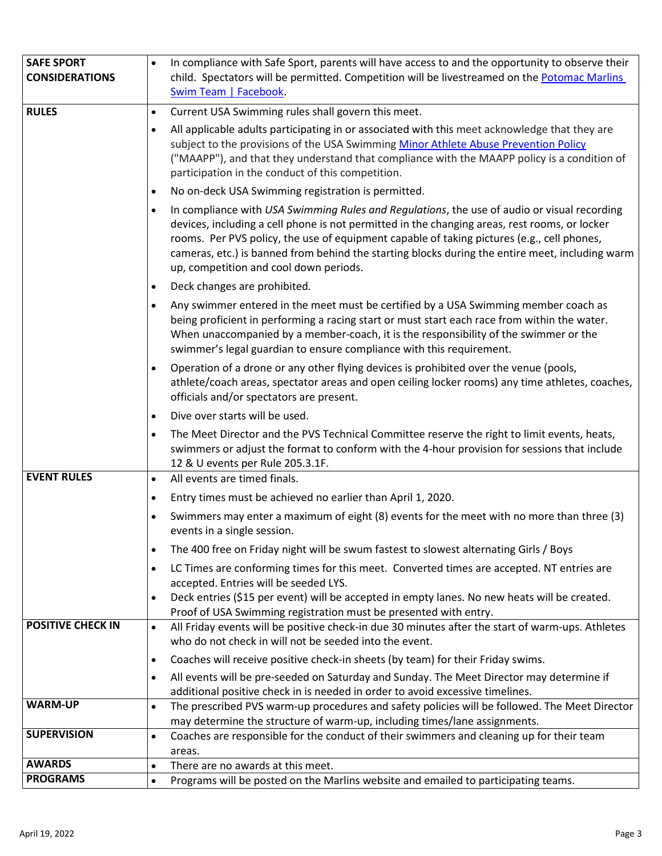| <b>SAFE SPORT</b><br><b>CONSIDERATIONS</b> | In compliance with Safe Sport, parents will have access to and the opportunity to observe their<br>$\bullet$<br>child. Spectators will be permitted. Competition will be livestreamed on the Potomac Marlins<br>Swim Team   Facebook.                                                                                                                                                                                                   |
|--------------------------------------------|-----------------------------------------------------------------------------------------------------------------------------------------------------------------------------------------------------------------------------------------------------------------------------------------------------------------------------------------------------------------------------------------------------------------------------------------|
| <b>RULES</b>                               | Current USA Swimming rules shall govern this meet.<br>$\bullet$                                                                                                                                                                                                                                                                                                                                                                         |
|                                            | All applicable adults participating in or associated with this meet acknowledge that they are<br>subject to the provisions of the USA Swimming Minor Athlete Abuse Prevention Policy<br>("MAAPP"), and that they understand that compliance with the MAAPP policy is a condition of<br>participation in the conduct of this competition.                                                                                                |
|                                            | No on-deck USA Swimming registration is permitted.<br>$\bullet$                                                                                                                                                                                                                                                                                                                                                                         |
|                                            | In compliance with USA Swimming Rules and Regulations, the use of audio or visual recording<br>devices, including a cell phone is not permitted in the changing areas, rest rooms, or locker<br>rooms. Per PVS policy, the use of equipment capable of taking pictures (e.g., cell phones,<br>cameras, etc.) is banned from behind the starting blocks during the entire meet, including warm<br>up, competition and cool down periods. |
|                                            | Deck changes are prohibited.<br>٠                                                                                                                                                                                                                                                                                                                                                                                                       |
|                                            | Any swimmer entered in the meet must be certified by a USA Swimming member coach as<br>being proficient in performing a racing start or must start each race from within the water.<br>When unaccompanied by a member-coach, it is the responsibility of the swimmer or the<br>swimmer's legal guardian to ensure compliance with this requirement.                                                                                     |
|                                            | Operation of a drone or any other flying devices is prohibited over the venue (pools,<br>$\bullet$<br>athlete/coach areas, spectator areas and open ceiling locker rooms) any time athletes, coaches,<br>officials and/or spectators are present.                                                                                                                                                                                       |
|                                            | Dive over starts will be used.<br>٠                                                                                                                                                                                                                                                                                                                                                                                                     |
|                                            | The Meet Director and the PVS Technical Committee reserve the right to limit events, heats,<br>$\bullet$<br>swimmers or adjust the format to conform with the 4-hour provision for sessions that include<br>12 & U events per Rule 205.3.1F.                                                                                                                                                                                            |
| <b>EVENT RULES</b>                         | All events are timed finals.<br>$\bullet$                                                                                                                                                                                                                                                                                                                                                                                               |
|                                            | Entry times must be achieved no earlier than April 1, 2020.<br>$\bullet$                                                                                                                                                                                                                                                                                                                                                                |
|                                            | Swimmers may enter a maximum of eight (8) events for the meet with no more than three (3)<br>events in a single session.                                                                                                                                                                                                                                                                                                                |
|                                            | The 400 free on Friday night will be swum fastest to slowest alternating Girls / Boys<br>$\bullet$                                                                                                                                                                                                                                                                                                                                      |
|                                            | LC Times are conforming times for this meet. Converted times are accepted. NT entries are<br>$\bullet$<br>accepted. Entries will be seeded LYS.<br>Deck entries (\$15 per event) will be accepted in empty lanes. No new heats will be created.                                                                                                                                                                                         |
|                                            | Proof of USA Swimming registration must be presented with entry.                                                                                                                                                                                                                                                                                                                                                                        |
| <b>POSITIVE CHECK IN</b>                   | All Friday events will be positive check-in due 30 minutes after the start of warm-ups. Athletes<br>$\bullet$<br>who do not check in will not be seeded into the event.                                                                                                                                                                                                                                                                 |
|                                            | Coaches will receive positive check-in sheets (by team) for their Friday swims.<br>$\bullet$                                                                                                                                                                                                                                                                                                                                            |
|                                            | All events will be pre-seeded on Saturday and Sunday. The Meet Director may determine if<br>additional positive check in is needed in order to avoid excessive timelines.                                                                                                                                                                                                                                                               |
| <b>WARM-UP</b>                             | The prescribed PVS warm-up procedures and safety policies will be followed. The Meet Director<br>$\bullet$                                                                                                                                                                                                                                                                                                                              |
|                                            | may determine the structure of warm-up, including times/lane assignments.                                                                                                                                                                                                                                                                                                                                                               |
| <b>SUPERVISION</b>                         | Coaches are responsible for the conduct of their swimmers and cleaning up for their team<br>٠<br>areas.                                                                                                                                                                                                                                                                                                                                 |
| <b>AWARDS</b>                              | There are no awards at this meet.<br>$\bullet$                                                                                                                                                                                                                                                                                                                                                                                          |
| <b>PROGRAMS</b>                            | Programs will be posted on the Marlins website and emailed to participating teams.<br>٠                                                                                                                                                                                                                                                                                                                                                 |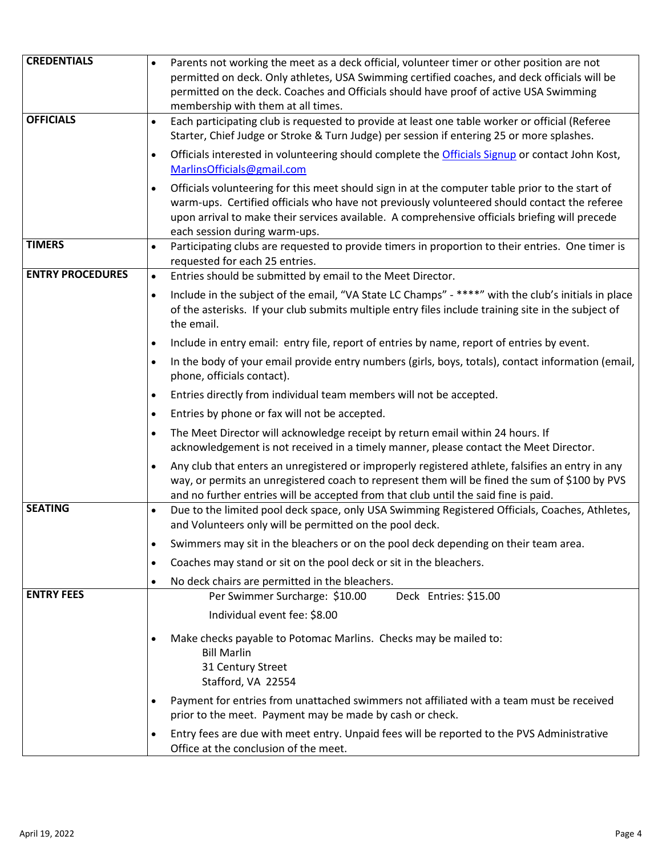| <b>CREDENTIALS</b>      | Parents not working the meet as a deck official, volunteer timer or other position are not<br>$\bullet$                                                                                                                                                                                                                                         |
|-------------------------|-------------------------------------------------------------------------------------------------------------------------------------------------------------------------------------------------------------------------------------------------------------------------------------------------------------------------------------------------|
|                         | permitted on deck. Only athletes, USA Swimming certified coaches, and deck officials will be                                                                                                                                                                                                                                                    |
|                         | permitted on the deck. Coaches and Officials should have proof of active USA Swimming                                                                                                                                                                                                                                                           |
|                         | membership with them at all times.                                                                                                                                                                                                                                                                                                              |
| <b>OFFICIALS</b>        | Each participating club is requested to provide at least one table worker or official (Referee<br>$\bullet$<br>Starter, Chief Judge or Stroke & Turn Judge) per session if entering 25 or more splashes.                                                                                                                                        |
|                         |                                                                                                                                                                                                                                                                                                                                                 |
|                         | Officials interested in volunteering should complete the Officials Signup or contact John Kost,<br>$\bullet$<br>MarlinsOfficials@gmail.com                                                                                                                                                                                                      |
|                         | Officials volunteering for this meet should sign in at the computer table prior to the start of<br>$\bullet$<br>warm-ups. Certified officials who have not previously volunteered should contact the referee<br>upon arrival to make their services available. A comprehensive officials briefing will precede<br>each session during warm-ups. |
| <b>TIMERS</b>           | Participating clubs are requested to provide timers in proportion to their entries. One timer is<br>$\bullet$<br>requested for each 25 entries.                                                                                                                                                                                                 |
| <b>ENTRY PROCEDURES</b> | Entries should be submitted by email to the Meet Director.<br>$\bullet$                                                                                                                                                                                                                                                                         |
|                         | Include in the subject of the email, "VA State LC Champs" - ****" with the club's initials in place<br>$\bullet$<br>of the asterisks. If your club submits multiple entry files include training site in the subject of<br>the email.                                                                                                           |
|                         | Include in entry email: entry file, report of entries by name, report of entries by event.<br>$\bullet$                                                                                                                                                                                                                                         |
|                         | In the body of your email provide entry numbers (girls, boys, totals), contact information (email,<br>$\bullet$<br>phone, officials contact).                                                                                                                                                                                                   |
|                         | Entries directly from individual team members will not be accepted.<br>$\bullet$                                                                                                                                                                                                                                                                |
|                         | Entries by phone or fax will not be accepted.<br>$\bullet$                                                                                                                                                                                                                                                                                      |
|                         | The Meet Director will acknowledge receipt by return email within 24 hours. If<br>$\bullet$<br>acknowledgement is not received in a timely manner, please contact the Meet Director.                                                                                                                                                            |
|                         | Any club that enters an unregistered or improperly registered athlete, falsifies an entry in any<br>$\bullet$<br>way, or permits an unregistered coach to represent them will be fined the sum of \$100 by PVS<br>and no further entries will be accepted from that club until the said fine is paid.                                           |
| <b>SEATING</b>          | Due to the limited pool deck space, only USA Swimming Registered Officials, Coaches, Athletes,<br>$\bullet$<br>and Volunteers only will be permitted on the pool deck.                                                                                                                                                                          |
|                         | Swimmers may sit in the bleachers or on the pool deck depending on their team area.<br>٠                                                                                                                                                                                                                                                        |
|                         | Coaches may stand or sit on the pool deck or sit in the bleachers.<br>$\bullet$                                                                                                                                                                                                                                                                 |
|                         | No deck chairs are permitted in the bleachers.<br>٠                                                                                                                                                                                                                                                                                             |
| <b>ENTRY FEES</b>       | Per Swimmer Surcharge: \$10.00<br>Deck Entries: \$15.00                                                                                                                                                                                                                                                                                         |
|                         | Individual event fee: \$8.00                                                                                                                                                                                                                                                                                                                    |
|                         | Make checks payable to Potomac Marlins. Checks may be mailed to:<br><b>Bill Marlin</b><br>31 Century Street<br>Stafford, VA 22554                                                                                                                                                                                                               |
|                         | Payment for entries from unattached swimmers not affiliated with a team must be received<br>prior to the meet. Payment may be made by cash or check.                                                                                                                                                                                            |
|                         | Entry fees are due with meet entry. Unpaid fees will be reported to the PVS Administrative<br>Office at the conclusion of the meet.                                                                                                                                                                                                             |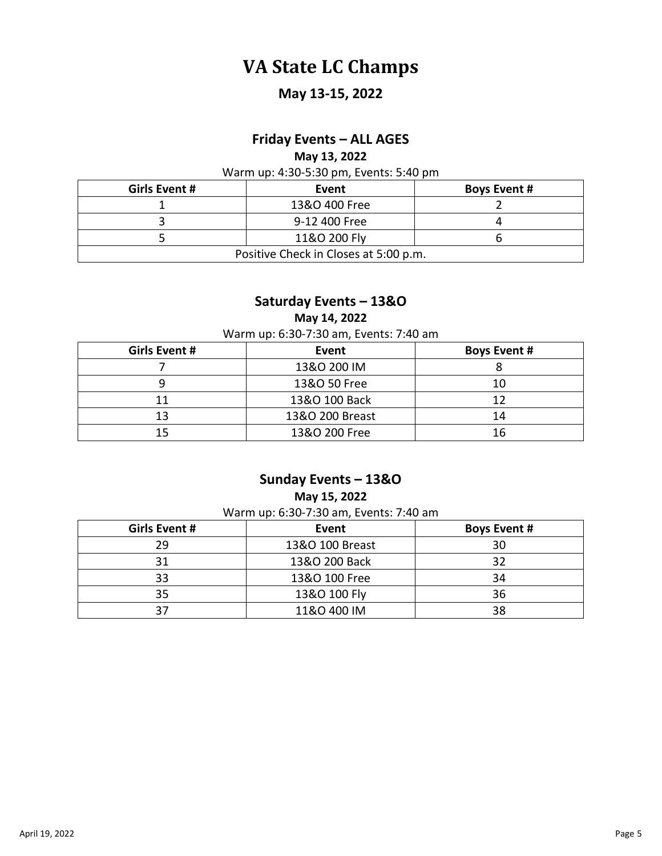## **VA State LC Champs**

### **May 13-15, 2022**

#### **Friday Events – ALL AGES**

**May 13, 2022**

Warm up: 4:30-5:30 pm, Events: 5:40 pm

| Girls Event #                         | Event         | <b>Boys Event #</b> |
|---------------------------------------|---------------|---------------------|
|                                       | 13&O 400 Free |                     |
|                                       | 9-12 400 Free |                     |
|                                       | 11&O 200 Fly  |                     |
| Positive Check in Closes at 5:00 p.m. |               |                     |

#### **Saturday Events – 13&O**

**May 14, 2022**

Warm up: 6:30-7:30 am, Events: 7:40 am

| <b>Girls Event #</b> | Event           | <b>Boys Event #</b> |
|----------------------|-----------------|---------------------|
|                      | 13&O 200 IM     |                     |
|                      | 13&O 50 Free    | 10                  |
| 11                   | 13&O 100 Back   | 12                  |
| 13                   | 13&O 200 Breast | 14                  |
| 15                   | 13&O 200 Free   | 16                  |

#### **Sunday Events – 13&O**

**May 15, 2022**

Warm up: 6:30-7:30 am, Events: 7:40 am

| Girls Event # | Event           | <b>Boys Event #</b> |  |
|---------------|-----------------|---------------------|--|
| 29            | 13&O 100 Breast | 30                  |  |
| 31            | 13&O 200 Back   | 32                  |  |
| 33            | 13&O 100 Free   | 34                  |  |
| 35            | 13&O 100 Fly    | 36                  |  |
| 27            | 11&O 400 IM     | 38                  |  |